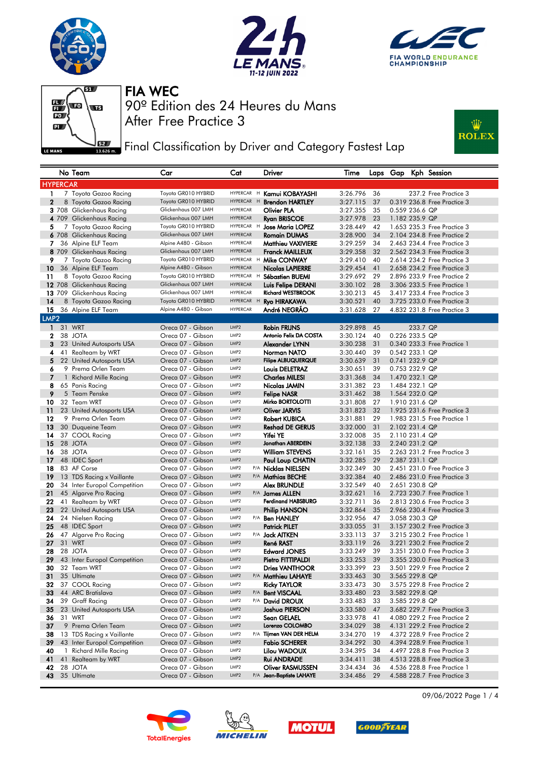







**Fig. 3** Final Classification by Driver and Category Fastest Lap



|                        |                 | No Team                                  | Car                                         | Cat                                                | Driver                                        | Time                 |          |                |          | Laps Gap Kph Session                                       |
|------------------------|-----------------|------------------------------------------|---------------------------------------------|----------------------------------------------------|-----------------------------------------------|----------------------|----------|----------------|----------|------------------------------------------------------------|
|                        | <b>HYPERCAR</b> |                                          |                                             |                                                    |                                               |                      |          |                |          |                                                            |
| 1                      |                 | 7 Toyota Gazoo Racing                    | Toyota GR010 HYBRID                         | HYPERCAR H                                         | Kamui KOBAYASHI                               | 3:26.796             | 36       |                |          | 237.2 Free Practice 3                                      |
| $\mathbf{2}$           |                 | 8 Toyota Gazoo Racing                    | Toyota GR010 HYBRID                         | HYPERCAR H                                         | <b>Brendon HARTLEY</b>                        | 3:27.115             | 37       |                |          | 0.319 236.8 Free Practice 3                                |
|                        |                 | 3 708 Glickenhaus Racing                 | Glickenhaus 007 LMH                         | <b>HYPERCAR</b>                                    | Olivier PLA                                   | 3:27.355             | 35       | 0.559 236.6 QP |          |                                                            |
|                        |                 | 4 709 Glickenhaus Racing                 | Glickenhaus 007 LMH                         | <b>HYPERCAR</b>                                    | <b>Ryan BRISCOE</b>                           | 3:27.978             | 23       | 1.182 235.9 QP |          |                                                            |
| 5                      |                 | 7 Toyota Gazoo Racing                    | Toyota GR010 HYBRID                         | HYPERCAR H                                         | <b>Jose Maria LOPEZ</b>                       | 3:28.449             | 42       |                |          | 1.653 235.3 Free Practice 3                                |
|                        |                 | 6 708 Glickenhaus Racing                 | Glickenhaus 007 LMH                         | <b>HYPERCAR</b>                                    | <b>Romain DUMAS</b>                           | 3:28.900             | 34       |                |          | 2.104 234.8 Free Practice 2                                |
| 7                      |                 | 36 Alpine ELF Team                       | Alpine A480 - Gibson                        | <b>HYPERCAR</b>                                    | <b>Matthieu VAXIVIERE</b>                     | 3:29.259             | 34       |                |          | 2.463 234.4 Free Practice 3                                |
|                        |                 | 8 709 Glickenhaus Racing                 | Glickenhaus 007 LMH                         | <b>HYPERCAR</b>                                    | <b>Franck MAILLEUX</b>                        | 3:29.358             | 32       |                |          | 2.562 234.3 Free Practice 3                                |
| 9                      |                 | 7 Toyota Gazoo Racing                    | Toyota GR010 HYBRID                         |                                                    | HYPERCAR H Mike CONWAY                        | 3:29.410             | 40       |                |          | 2.614 234.2 Free Practice 3                                |
| 10                     |                 | 36 Alpine ELF Team                       | Alpine A480 - Gibson                        | <b>HYPERCAR</b>                                    | <b>Nicolas LAPIERRE</b>                       | 3:29.454             | 41       |                |          | 2.658 234.2 Free Practice 3                                |
| 11                     |                 | 8 Toyota Gazoo Racing                    | Toyota GR010 HYBRID                         | HYPERCAR H                                         | Sébastien BUEMI                               | 3:29.692             | 29       |                |          | 2.896 233.9 Free Practice 2                                |
|                        |                 | 12 708 Glickenhaus Racing                | Glickenhaus 007 LMH                         | <b>HYPERCAR</b>                                    | Luis Felipe DERANI                            | 3:30.102             | 28       |                |          | 3.306 233.5 Free Practice 1                                |
|                        |                 | 13 709 Glickenhaus Racing                | Glickenhaus 007 LMH                         | <b>HYPERCAR</b>                                    | <b>Richard WESTBROOK</b>                      | 3:30.213             | 45       |                |          | 3.417 233.4 Free Practice 3                                |
| 14                     |                 | 8 Toyota Gazoo Racing                    | Toyota GR010 HYBRID<br>Alpine A480 - Gibson | HYPERCAR H<br><b>HYPERCAR</b>                      | <b>Ryo HIRAKAWA</b>                           | 3:30.521             | 40       |                |          | 3.725 233.0 Free Practice 3                                |
| 15<br>LMP <sub>2</sub> |                 | 36 Alpine ELF Team                       |                                             |                                                    | André NEGRÃO                                  | 3:31.628             | 27       |                |          | 4.832 231.8 Free Practice 3                                |
| $\mathbf{1}$           |                 | 31 WRT                                   |                                             | LMP <sub>2</sub>                                   |                                               |                      |          |                |          |                                                            |
| $\mathbf{2}$           |                 | 38 JOTA                                  | Oreca 07 - Gibson<br>Oreca 07 - Gibson      | LMP <sub>2</sub>                                   | <b>Robin FRIJNS</b><br>Antonio Felix DA COSTA | 3:29.898<br>3:30.124 | 45<br>40 | 0.226 233.5 QP | 233.7 QP |                                                            |
| 3                      |                 | 23 United Autosports USA                 | Oreca 07 - Gibson                           | LMP <sub>2</sub>                                   | Alexander LYNN                                | 3:30.238             | 31       |                |          | 0.340 233.3 Free Practice 1                                |
| 4                      | 41              | Realteam by WRT                          | Oreca 07 - Gibson                           | LMP <sub>2</sub>                                   | Norman NATO                                   | 3:30.440             | 39       | 0.542 233.1 QP |          |                                                            |
| 5                      |                 | 22 United Autosports USA                 | Oreca 07 - Gibson                           | LMP <sub>2</sub>                                   | <b>Filipe ALBUQUERQUE</b>                     | 3:30.639             | 31       | 0.741 232.9 QP |          |                                                            |
| 6                      |                 | 9 Prema Orlen Team                       | Oreca 07 - Gibson                           | LMP <sub>2</sub>                                   | <b>Louis DELETRAZ</b>                         | 3:30.651             | 39       | 0.753 232.9 QP |          |                                                            |
| $\overline{7}$         |                 | 1 Richard Mille Racing                   | Oreca 07 - Gibson                           | LMP <sub>2</sub>                                   | <b>Charles MILESI</b>                         | 3:31.368             | 34       | 1.470 232.1 QP |          |                                                            |
| 8                      |                 | 65 Panis Racing                          | Oreca 07 - Gibson                           | LMP <sub>2</sub>                                   | Nicolas JAMIN                                 | 3:31.382             | 23       | 1.484 232.1 QP |          |                                                            |
| 9                      |                 | 5 Team Penske                            | Oreca 07 - Gibson                           | LMP <sub>2</sub>                                   | <b>Felipe NASR</b>                            | 3:31.462             | 38       | 1.564 232.0 QP |          |                                                            |
| 10                     |                 | 32 Team WRT                              | Oreca 07 - Gibson                           | LMP <sub>2</sub>                                   | Mirko BORTOLOTTI                              | 3:31.808             | 27       | 1.910 231.6 QP |          |                                                            |
| 11                     |                 | 23 United Autosports USA                 | Oreca 07 - Gibson                           | LMP2                                               | <b>Oliver JARVIS</b>                          | 3:31.823             | 32       |                |          | 1.925 231.6 Free Practice 3                                |
| 12                     |                 | 9 Prema Orlen Team                       | Oreca 07 - Gibson                           | LMP <sub>2</sub>                                   | <b>Robert KUBICA</b>                          | 3:31.881             | 29       |                |          | 1.983 231.5 Free Practice 1                                |
| 13                     |                 | 30 Duqueine Team                         | Oreca 07 - Gibson                           | LMP <sub>2</sub>                                   | <b>Reshad DE GERUS</b>                        | 3:32.000             | 31       | 2.102 231.4 QP |          |                                                            |
| 14                     |                 | 37 COOL Racing                           | Oreca 07 - Gibson                           | LMP <sub>2</sub>                                   | Yifei YE                                      | 3:32.008             | 35       | 2.110 231.4 QP |          |                                                            |
| 15                     |                 | 28 JOTA                                  | Oreca 07 - Gibson                           | LMP <sub>2</sub>                                   | Jonathan ABERDEIN                             | 3:32.138             | 33       | 2.240 231.2 QP |          |                                                            |
| 16                     |                 | 38 JOTA                                  | Oreca 07 - Gibson                           | LMP <sub>2</sub>                                   | <b>William STEVENS</b>                        | 3:32.161             | 35       |                |          | 2.263 231.2 Free Practice 3                                |
| 17                     |                 | 48 IDEC Sport                            | Oreca 07 - Gibson                           | LMP <sub>2</sub><br>LMP <sub>2</sub>               | Paul Loup CHATIN                              | 3:32.285             | 29       | 2.387 231.1 QP |          |                                                            |
| 18<br>19               |                 | 83 AF Corse<br>13 TDS Racing x Vaillante | Oreca 07 - Gibson<br>Oreca 07 - Gibson      | LMP2                                               | P/A Nicklas NIELSEN<br>P/A Mathias BECHE      | 3:32.349<br>3:32.384 | 30<br>40 |                |          | 2.451 231.0 Free Practice 3<br>2.486 231.0 Free Practice 3 |
| 20                     |                 | 34 Inter Europol Competition             | Oreca 07 - Gibson                           | LMP <sub>2</sub>                                   | Alex BRUNDLE                                  | 3:32.549             | 40       | 2.651 230.8 QP |          |                                                            |
| 21                     |                 | 45 Algarve Pro Racing                    | Oreca 07 - Gibson                           | LMP <sub>2</sub>                                   | P/A James ALLEN                               | 3:32.621             | 16       |                |          | 2.723 230.7 Free Practice 1                                |
| 22                     |                 | 41 Realteam by WRT                       | Oreca 07 - Gibson                           | LMP <sub>2</sub>                                   | Ferdinand HABSBURG                            | 3:32.711             | 36       |                |          | 2.813 230.6 Free Practice 3                                |
| 23                     |                 | 22 United Autosports USA                 | Oreca 07 - Gibson                           | LMP <sub>2</sub>                                   | <b>Philip HANSON</b>                          | 3:32.864             | 35       |                |          | 2.966 230.4 Free Practice 3                                |
| 24                     |                 | 24 Nielsen Racing                        | Oreca 07 - Gibson                           | LMP <sub>2</sub>                                   | P/A <b>Ben HANLEY</b>                         | 3:32.956             | 47       | 3.058 230.3 QP |          |                                                            |
| 25                     |                 | 48 IDEC Sport                            | Oreca 07 - Gibson                           | LMP <sub>2</sub>                                   | <b>Patrick PILET</b>                          | 3:33.055             | 31       |                |          | 3.157 230.2 Free Practice 3                                |
| 26                     |                 | 47 Algarve Pro Racing                    | Oreca 07 - Gibson                           | LMP <sub>2</sub>                                   | P/A <b>Jack AITKEN</b>                        | 3:33.113             | 37       |                |          | 3.215 230.2 Free Practice 1                                |
| 27                     |                 | 31 WRT                                   | Oreca 07 - Gibson                           | LMP <sub>2</sub>                                   | <b>René RAST</b>                              | 3:33.119             | 26       |                |          | 3.221 230.2 Free Practice 2                                |
| 28                     |                 | 28 JOTA                                  | Oreca 07 - Gibson                           | LMP <sub>2</sub>                                   | <b>Edward JONES</b>                           | 3:33.249             | 39       |                |          | 3.351 230.0 Free Practice 3                                |
| 29                     |                 | 43 Inter Europol Competition             | Oreca 07 - Gibson                           | LMP <sub>2</sub>                                   | Pietro FITTIPALDI                             | 3:33.253             | 39       |                |          | 3.355 230.0 Free Practice 3                                |
| 30                     |                 | 32 Team WRT                              | Oreca 07 - Gibson                           | LMP <sub>2</sub>                                   | <b>Dries VANTHOOR</b>                         | 3:33.399             | 23       |                |          | 3.501 229.9 Free Practice 2                                |
| 31                     |                 | 35 Ultimate                              | Oreca 07 - Gibson                           | LMP2                                               | P/A Matthieu LAHAYE                           | 3:33.463             | 30       | 3.565 229.8 QP |          |                                                            |
| 32                     |                 | 37 COOL Racing                           | Oreca 07 - Gibson                           | LMP2                                               | <b>Ricky TAYLOR</b>                           | 3:33.473             | 30       |                |          | 3.575 229.8 Free Practice 2                                |
| 33<br>34               |                 | 44 ARC Bratislava<br>39 Graff Racing     | Oreca 07 - Gibson                           | LMP <sub>2</sub><br>P/A<br>LMP <sub>2</sub><br>P/A | <b>Bent VISCAAL</b>                           | 3:33.480             | 23       | 3.582 229.8 QP |          |                                                            |
| 35                     |                 | 23 United Autosports USA                 | Oreca 07 - Gibson<br>Oreca 07 - Gibson      | LMP2                                               | David DROUX<br>Joshua PIERSON                 | 3:33.483<br>3:33.580 | 33<br>47 | 3.585 229.8 QP |          | 3.682 229.7 Free Practice 3                                |
| 36                     |                 | 31 WRT                                   | Oreca 07 - Gibson                           | LMP2                                               | Sean GELAEL                                   | 3:33.978             | 41       |                |          | 4.080 229.2 Free Practice 2                                |
| 37                     |                 | 9 Prema Orlen Team                       | Oreca 07 - Gibson                           | LMP2                                               | Lorenzo COLOMBO                               | 3:34.029             | 38       |                |          | 4.131 229.2 Free Practice 2                                |
| 38                     |                 | 13 TDS Racing x Vaillante                | Oreca 07 - Gibson                           | LMP2                                               | P/A Tijmen VAN DER HELM                       | 3:34.270             | -19      |                |          | 4.372 228.9 Free Practice 2                                |
| 39                     |                 | 43 Inter Europol Competition             | Oreca 07 - Gibson                           | LMP2                                               | <b>Fabio SCHERER</b>                          | 3:34.292             | 30       |                |          | 4.394 228.9 Free Practice 1                                |
| 40                     |                 | 1 Richard Mille Racing                   | Oreca 07 - Gibson                           | LMP2                                               | Lilou WADOUX                                  | 3:34.395             | 34       |                |          | 4.497 228.8 Free Practice 3                                |
| 41                     |                 | 41 Realteam by WRT                       | Oreca 07 - Gibson                           | LMP2                                               | <b>Rui ANDRADE</b>                            | 3:34.411             | 38       |                |          | 4.513 228.8 Free Practice 3                                |
| 42                     |                 | 28 JOTA                                  | Oreca 07 - Gibson                           | LMP2                                               | <b>Oliver RASMUSSEN</b>                       | 3:34.434             | 36       |                |          | 4.536 228.8 Free Practice 1                                |
| 43                     |                 | 35 Ultimate                              | Oreca 07 - Gibson                           | LMP <sub>2</sub>                                   | P/A Jean-Baptiste LAHAYE                      | 3:34.486             | 29       |                |          | 4.588 228.7 Free Practice 3                                |
|                        |                 |                                          |                                             |                                                    |                                               |                      |          |                |          |                                                            |









09/06/2022 Page 1 / 4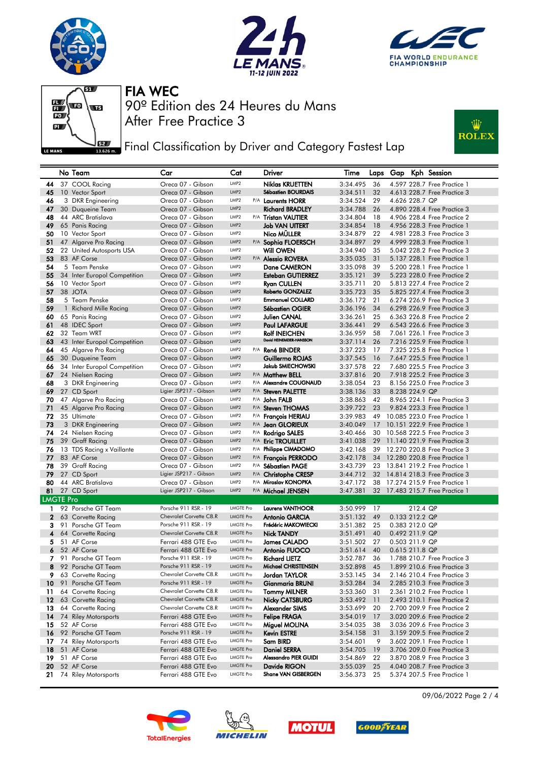







**Fig. 3** Final Classification by Driver and Category Fastest Lap



|                         | No Team                                   | Car                                             | Cat                                  | Driver                                           | Time                 | Laps     |                |          | Gap Kph Session                                            |
|-------------------------|-------------------------------------------|-------------------------------------------------|--------------------------------------|--------------------------------------------------|----------------------|----------|----------------|----------|------------------------------------------------------------|
| 44                      | 37 COOL Racing                            | Oreca 07 - Gibson                               | LMP2                                 | <b>Niklas KRUETTEN</b>                           | 3:34.495             | 36       |                |          | 4.597 228.7 Free Practice 1                                |
| 45                      | 10 Vector Sport                           | Oreca 07 - Gibson                               | LMP2                                 | <b>Sébastien BOURDAIS</b>                        | 3:34.511             | 32       |                |          | 4.613 228.7 Free Practice 3                                |
| 46                      | 3 DKR Engineering                         | Oreca 07 - Gibson                               | LMP2                                 | P/A Laurents HORR                                | 3:34.524             | 29       | 4.626 228.7 QP |          |                                                            |
| 47                      | 30 Duqueine Team                          | Oreca 07 - Gibson                               | LMP <sub>2</sub>                     | <b>Richard BRADLEY</b>                           | 3:34.788             | 26       |                |          | 4.890 228.4 Free Practice 3                                |
| 48                      | 44 ARC Bratislava                         | Oreca 07 - Gibson                               | LMP2                                 | P/A Tristan VAUTIER                              | 3:34.804             | 18       |                |          | 4.906 228.4 Free Practice 2                                |
| 49                      | 65 Panis Racing                           | Oreca 07 - Gibson                               | LMP <sub>2</sub>                     | <b>Job VAN UITERT</b>                            | 3:34.854             | 18       |                |          | 4.956 228.3 Free Practice 1                                |
| 50                      | 10 Vector Sport                           | Oreca 07 - Gibson                               | LMP <sub>2</sub>                     | Nico MÜLLER                                      | 3:34.879             | 22       |                |          | 4.981 228.3 Free Practice 3                                |
| 51                      | 47 Algarve Pro Racing                     | Oreca 07 - Gibson                               | LMP <sub>2</sub>                     | P/A Sophia FLOERSCH                              | 3:34.897             | 29       |                |          | 4.999 228.3 Free Practice 1                                |
| 52                      | 22 United Autosports USA                  | Oreca 07 - Gibson                               | LMP <sub>2</sub>                     | <b>Will OWEN</b>                                 | 3:34.940             | 35       |                |          | 5.042 228.2 Free Practice 3                                |
| 53                      | 83 AF Corse                               | Oreca 07 - Gibson                               | LMP <sub>2</sub>                     | P/A <b>Alessio ROVERA</b>                        | 3:35.035             | 31       |                |          | 5.137 228.1 Free Practice 1                                |
| 54                      | 5 Team Penske                             | Oreca 07 - Gibson                               | LMP2                                 | Dane CAMERON                                     | 3:35.098             | 39       |                |          | 5,200 228.1 Free Practice 1                                |
| 55                      | 34 Inter Europol Competition              | Oreca 07 - Gibson                               | LMP <sub>2</sub>                     | <b>Esteban GUTIERREZ</b>                         | 3:35.121             | 39       |                |          | 5.223 228.0 Free Practice 2                                |
| 56                      | 10 Vector Sport                           | Oreca 07 - Gibson                               | LMP2                                 | Ryan CULLEN                                      | 3:35.711             | 20       |                |          | 5.813 227.4 Free Practice 2                                |
| 57                      | 38 JOTA                                   | Oreca 07 - Gibson                               | LMP2                                 | Roberto GONZALEZ                                 | 3:35.723             | 35       |                |          | 5.825 227.4 Free Practice 3                                |
| 58                      | 5 Team Penske                             | Oreca 07 - Gibson                               | LMP2                                 | <b>Emmanuel COLLARD</b>                          | 3:36.172             | 21       |                |          | 6.274 226.9 Free Practice 3                                |
| 59                      | 1 Richard Mille Racing                    | Oreca 07 - Gibson                               | LMP <sub>2</sub>                     | <b>Sébastien OGIER</b>                           | 3:36.196             | 34       |                |          | 6.298 226.9 Free Practice 3                                |
| 60                      | 65 Panis Racing                           | Oreca 07 - Gibson                               | LMP <sub>2</sub>                     | Julien CANAL                                     | 3:36.261             | 25       |                |          | 6.363 226.8 Free Practice 2                                |
| 61                      | 48 IDEC Sport                             | Oreca 07 - Gibson                               | LMP <sub>2</sub><br>LMP2             | <b>Paul LAFARGUE</b>                             | 3:36.441             | 29       |                |          | 6.543 226.6 Free Practice 3                                |
| 62                      | 32 Team WRT                               | Oreca 07 - Gibson                               | LMP <sub>2</sub>                     | <b>Rolf INEICHEN</b><br>David HEINEMEIER-HANSSON | 3:36.959<br>3:37.114 | 58       |                |          | 7.061 226.1 Free Practice 3                                |
| 63                      | 43 Inter Europol Competition              | Oreca 07 - Gibson                               | LMP2                                 |                                                  |                      | 26<br>17 |                |          | 7.216 225.9 Free Practice 1<br>7.325 225.8 Free Practice 1 |
| 64<br>65                | 45 Algarve Pro Racing<br>30 Duqueine Team | Oreca 07 - Gibson<br>Oreca 07 - Gibson          | LMP2                                 | P/A René BINDER<br>Guillermo ROJAS               | 3:37.223<br>3:37.545 | 16       |                |          | 7.647 225.5 Free Practice 1                                |
| 66                      | 34 Inter Europol Competition              | Oreca 07 - Gibson                               | LMP2                                 | Jakub SMIECHOWSKI                                | 3:37.578             | 22       |                |          | 7.680 225.5 Free Practice 3                                |
| 67                      | 24 Nielsen Racing                         | Oreca 07 - Gibson                               | LMP2                                 | P/A Matthew BELL                                 | 3:37.816             | 20       |                |          | 7.918 225.2 Free Practice 3                                |
| 68                      | 3 DKR Engineering                         | Oreca 07 - Gibson                               | LMP2                                 | P/A Alexandre COUGNAUD                           | 3:38.054             | 23       |                |          | 8.156 225.0 Free Practice 3                                |
| 69                      | 27 CD Sport                               | Ligier JSP217 - Gibson                          | LMP <sub>2</sub>                     | P/A Steven PALETTE                               | 3:38.136             | 33       | 8.238 224.9 QP |          |                                                            |
| 70                      | 47 Algarve Pro Racing                     | Oreca 07 - Gibson                               | LMP <sub>2</sub>                     | P/A John FALB                                    | 3:38.863             | 42       |                |          | 8.965 224.1 Free Practice 3                                |
| 71                      | 45 Algarve Pro Racing                     | Oreca 07 - Gibson                               | LMP <sub>2</sub>                     | P/A Steven THOMAS                                | 3:39.722             | 23       |                |          | 9.824 223.3 Free Practice 1                                |
| 72                      | 35 Ultimate                               | Oreca 07 - Gibson                               | LMP2                                 | <sup>P/A</sup> <b>François HERIAU</b>            | 3:39.983             | 49       |                |          | 10.085 223.0 Free Practice 1                               |
| 73                      | 3 DKR Engineering                         | Oreca 07 - Gibson                               | LMP <sub>2</sub>                     | P/A Jean GLORIEUX                                | 3:40.049             | 17       |                |          | 10.151 222.9 Free Practice 1                               |
| 74                      | 24 Nielsen Racing                         | Oreca 07 - Gibson                               | LMP2                                 | P/A Rodrigo SALES                                | 3:40.466             | 30       |                |          | 10,568 222,5 Free Practice 3                               |
| 75                      | 39 Graff Racing                           | Oreca 07 - Gibson                               | LMP2                                 | P/A Eric TROUILLET                               | 3:41.038             | 29       |                |          | 11.140 221.9 Free Practice 3                               |
| 76                      | 13 TDS Racing x Vaillante                 | Oreca 07 - Gibson                               | LMP2                                 | P/A Philippe CIMADOMO                            | 3:42.168             | 39       |                |          | 12.270 220.8 Free Practice 3                               |
| 77                      | 83 AF Corse                               | Oreca 07 - Gibson                               | LMP2                                 | P/A François PERRODO                             | 3:42.178             |          |                |          | 34 12.280 220.8 Free Practice 1                            |
| 78                      | 39 Graff Racing                           | Oreca 07 - Gibson                               | LMP2                                 | <sup>P/A</sup> Sébastien PAGE                    | 3:43.739             | 23       |                |          | 13.841 219.2 Free Practice 1                               |
| 79                      | 27 CD Sport                               | Ligier JSP217 - Gibson                          | LMP2                                 | P/A Christophe CRESP                             | 3:44.712             | 32       |                |          | 14.814 218.3 Free Practice 3                               |
| 80                      | 44 ARC Bratislava                         | Oreca 07 - Gibson                               | LMP2                                 | P/A Miroslav KONOPKA                             | 3:47.172             | 38       |                |          | 17.274 215.9 Free Practice 1                               |
| 81                      | 27 CD Sport                               | Ligier JSP217 - Gibson                          | LMP2                                 | P/A Michael JENSEN                               | 3:47.381             |          |                |          | 32 17.483 215.7 Free Practice 1                            |
| <b>LMGTE Pro</b>        |                                           |                                                 |                                      |                                                  |                      |          |                |          |                                                            |
| $\mathbf{1}$            | 92 Porsche GT Team                        | Porsche 911 RSR - 19                            | <b>LMGTE Pro</b>                     | <b>Laurens VANTHOOR</b>                          | 3:50.999             | 17       |                | 212.4 QP |                                                            |
| $\mathbf{2}$            | 63 Corvette Racing                        | Chevrolet Corvette C8.R                         | <b>LMGTE Pro</b>                     | <b>Antonio GARCIA</b>                            | 3:51.132             | 49       | 0.133 212.2 QP |          |                                                            |
| 3                       | 91 Porsche GT Team                        | Porsche 911 RSR - 19<br>Chevrolet Corvette C8.R | <b>LMGTE Pro</b>                     | Frédéric MAKOWIECKI                              | 3:51.382             | 25       | 0.383 212.0 QP |          |                                                            |
| $\overline{\mathbf{4}}$ | 64 Corvette Racing                        |                                                 | <b>LMGTE Pro</b>                     | <b>Nick TANDY</b>                                | 3:51.491             | 40       | 0.492 211.9 QP |          |                                                            |
| 5<br>6                  | 51 AF Corse<br>52 AF Corse                | Ferrari 488 GTE Evo                             | <b>LMGTE Pro</b><br><b>LMGTE Pro</b> | <b>James CALADO</b><br><b>Antonio FUOCO</b>      | 3:51.502             | 27<br>40 | 0.503 211.9 QP |          |                                                            |
|                         | 91 Porsche GT Team                        | Ferrari 488 GTE Evo<br>Porsche 911 RSR - 19     | <b>LMGTE Pro</b>                     |                                                  | 3:51.614             |          | 0.615 211.8 QP |          |                                                            |
| 7<br>8                  | 92 Porsche GT Team                        | Porsche 911 RSR - 19                            | <b>LMGTE Pro</b>                     | <b>Richard LIETZ</b><br>Michael CHRISTENSEN      | 3:52.787<br>3:52.898 | 36<br>45 |                |          | 1.788 210.7 Free Practice 3<br>1.899 210.6 Free Practice 3 |
| 9.                      | 63 Corvette Racing                        | Chevrolet Corvette C8.R                         | <b>LMGTE Pro</b>                     | Jordan TAYLOR                                    | 3:53.145             | 34       |                |          | 2.146 210.4 Free Practice 3                                |
| 10                      | 91 Porsche GT Team                        | Porsche 911 RSR - 19                            | <b>LMGTE Pro</b>                     | Gianmaria BRUNI                                  | 3:53.284             | 34       |                |          | 2.285 210.3 Free Practice 3                                |
| 11                      | 64 Corvette Racing                        | Chevrolet Corvette C8.R                         | <b>LMGTE Pro</b>                     | <b>Tommy MILNER</b>                              | 3:53.360             | 31       |                |          | 2.361 210.2 Free Practice 1                                |
| 12 <sup>2</sup>         | 63 Corvette Racing                        | Chevrolet Corvette C8.R                         | <b>LMGTE Pro</b>                     | <b>Nicky CATSBURG</b>                            | 3:53.492             | 11       |                |          | 2.493 210.1 Free Practice 2                                |
| 13                      | 64 Corvette Racing                        | Chevrolet Corvette C8.R                         | <b>LMGTE Pro</b>                     | Alexander SIMS                                   | 3:53.699             | 20       |                |          | 2.700 209.9 Free Practice 2                                |
| 14                      | 74 Riley Motorsports                      | Ferrari 488 GTE Evo                             | <b>LMGTE Pro</b>                     | <b>Felipe FRAGA</b>                              | 3:54.019             | 17       |                |          | 3.020 209.6 Free Practice 2                                |
| 15                      | 52 AF Corse                               | Ferrari 488 GTE Evo                             | <b>LMGTE Pro</b>                     | Miguel MOLINA                                    | 3:54.035             | 38       |                |          | 3.036 209.6 Free Practice 3                                |
|                         | 16 92 Porsche GT Team                     | Porsche 911 RSR - 19                            | <b>LMGTE Pro</b>                     | Kevin ESTRE                                      | 3:54.158             | 31       |                |          | 3.159 209.5 Free Practice 2                                |
| 17                      | 74 Riley Motorsports                      | Ferrari 488 GTE Evo                             | LMGTE Pro                            | Sam BIRD                                         | 3:54.601             | 9        |                |          | 3.602 209.1 Free Practice 1                                |
| 18                      | 51 AF Corse                               | Ferrari 488 GTE Evo                             | <b>LMGTE Pro</b>                     | <b>Daniel SERRA</b>                              | 3:54.705             | 19       |                |          | 3.706 209.0 Free Practice 3                                |
| 19                      | 51 AF Corse                               | Ferrari 488 GTE Evo                             | <b>LMGTE Pro</b>                     | Alessandro PIER GUIDI                            | 3:54.869             | 22       |                |          | 3.870 208.9 Free Practice 3                                |
| 20                      | 52 AF Corse                               | Ferrari 488 GTE Evo                             | <b>LMGTE Pro</b>                     | Davide RIGON                                     | 3:55.039             | 25       |                |          | 4.040 208.7 Free Practice 3                                |
|                         | 21 74 Riley Motorsports                   | Ferrari 488 GTE Evo                             | <b>LMGTE Pro</b>                     | Shane VAN GISBERGEN                              | 3:56.373 25          |          |                |          | 5.374 207.5 Free Practice 1                                |









09/06/2022 Page 2 / 4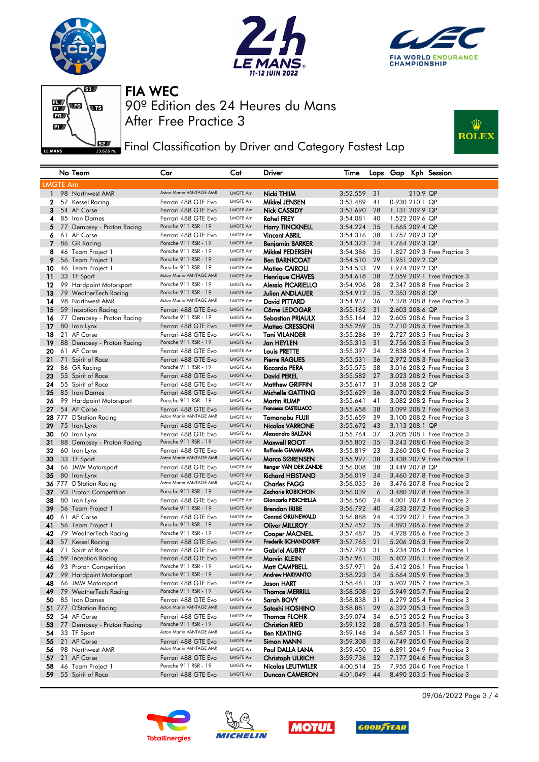







**J**EET Final Classification by Driver and Category Fastest Lap



|                 | No Team                                  | Car                                        | Cat                         | Driver                                       | Time                 |          |                |          | Laps Gap Kph Session                                       |
|-----------------|------------------------------------------|--------------------------------------------|-----------------------------|----------------------------------------------|----------------------|----------|----------------|----------|------------------------------------------------------------|
| <b>LMGTE Am</b> |                                          |                                            |                             |                                              |                      |          |                |          |                                                            |
| $\mathbf{1}$    | 98 Northwest AMR                         | Aston Martin VANTAGE AMR                   | LMGTE Am                    | Nicki THIIM                                  | 3:52.559             | 31       |                | 210.9 QP |                                                            |
| 2               | 57 Kessel Racing                         | Ferrari 488 GTE Evo                        | LMGTE Am                    | Mikkel JENSEN                                | 3:53.489             | 41       | 0.930 210.1 QP |          |                                                            |
| 3               | 54 AF Corse                              | Ferrari 488 GTE Evo                        | LMGTE Am                    | <b>Nick CASSIDY</b>                          | 3:53.690             | 28       | 1.131 209.9 QP |          |                                                            |
| 4               | 85 Iron Dames                            | Ferrari 488 GTE Evo                        | LMGTE Am                    | <b>Rahel FREY</b>                            | 3:54.081             | 40       | 1.522 209.6 QP |          |                                                            |
| 5               | 77 Dempsey - Proton Racing               | Porsche 911 RSR - 19                       | <b>LMGTE Am</b>             | <b>Harry TINCKNELL</b>                       | 3:54.224             | 35       | 1.665 209.4 QP |          |                                                            |
| 6               | 61 AF Corse                              | Ferrari 488 GTE Evo                        | LMGTE Am                    | <b>Vincent ABRIL</b>                         | 3:54.316             | 38       | 1.757 209.3 QP |          |                                                            |
| $\overline{7}$  | 86 GR Racing                             | Porsche 911 RSR - 19                       | <b>LMGTE Am</b>             | <b>Benjamin BARKER</b>                       | 3:54.323             | 24       | 1.764 209.3 QP |          |                                                            |
| 8               | 46 Team Project 1                        | Porsche 911 RSR - 19                       | LMGTE Am                    | Mikkel PEDERSEN                              | 3:54.386             | 35       |                |          | 1,827 209.3 Free Practice 3                                |
| 9               | 56 Team Project 1                        | Porsche 911 RSR - 19                       | <b>LMGTE Am</b>             | <b>Ben BARNICOAT</b>                         | 3:54.510             | 29       | 1.951 209.2 QP |          |                                                            |
| 10              | 46 Team Project 1                        | Porsche 911 RSR - 19                       | LMGTE Am                    | Matteo CAIROLI                               | 3:54.533             | 29       | 1.974 209.2 QP |          |                                                            |
| 11              | 33 TF Sport                              | Aston Martin VANTAGE AMR                   | LMGTE Am                    | <b>Henrique CHAVES</b>                       | 3:54.618             | 38       |                |          | 2.059 209.1 Free Practice 3                                |
| 12              | 99 Hardpoint Motorsport                  | Porsche 911 RSR - 19                       | LMGTE Am                    | <b>Alessio PICARIELLO</b>                    | 3:54.906             | 28       |                |          | 2.347 208.8 Free Practice 3                                |
| 13              | 79 WeatherTech Racing                    | Porsche 911 RSR - 19                       | <b>LMGTE Am</b>             | Julien ANDLAUER                              | 3:54.912             | 35       | 2.353 208.8 QP |          |                                                            |
| 14              | 98 Northwest AMR                         | Aston Martin VANTAGE AMR                   | LMGTE Am                    | David PITTARD                                | 3:54.937             | 36       |                |          | 2.378 208.8 Free Practice 3                                |
| 15              | 59 Inception Racing                      | Ferrari 488 GTE Evo                        | <b>LMGTE Am</b>             | Côme LEDOGAR                                 | 3:55.162             | 31       | 2.603 208.6 QP |          |                                                            |
| 16              | 77 Dempsey - Proton Racing               | Porsche 911 RSR - 19                       | LMGTE Am                    | <b>Sebastian PRIAULX</b>                     | 3:55.164             | 32       |                |          | 2.605 208.6 Free Practice 3                                |
| 17              | 80 Iron Lynx                             | Ferrari 488 GTE Evo                        | <b>LMGTE Am</b>             | Matteo CRESSONI                              | 3:55.269             | 35       |                |          | 2.710 208.5 Free Practice 3                                |
| 18              | 21 AF Corse                              | Ferrari 488 GTE Evo                        | LMGTE Am                    | <b>Toni VILANDER</b>                         | 3:55.286             | 39       |                |          | 2.727 208.5 Free Practice 3                                |
| 19              | 88 Dempsey - Proton Racing               | Porsche 911 RSR - 19                       | LMGTE Am                    | Jan HEYLEN                                   | 3:55.315             | 31       |                |          | 2.756 208.5 Free Practice 3                                |
| 20              | 61 AF Corse                              | Ferrari 488 GTE Evo                        | LMGTE Am                    | Louis PRETTE                                 | 3:55.397             | 34       |                |          | 2.838 208.4 Free Practice 3                                |
| 21              | 71 Spirit of Race                        | Ferrari 488 GTE Evo                        | LMGTE Am                    | <b>Pierre RAGUES</b>                         | 3:55.531             | 36       |                |          | 2.972 208.3 Free Practice 3                                |
| 22              | 86 GR Racing                             | Porsche 911 RSR - 19                       | LMGTE Am<br><b>LMGTE Am</b> | <b>Riccardo PERA</b>                         | 3:55.575             | 38       |                |          | 3.016 208.2 Free Practice 3                                |
| 23              | 55 Spirit of Race                        | Ferrari 488 GTE Evo                        | <b>LMGTE Am</b>             | <b>David PEREL</b>                           | 3:55.582             | 27       |                |          | 3.023 208.2 Free Practice 3                                |
| 24              | 55 Spirit of Race                        | Ferrari 488 GTE Evo<br>Ferrari 488 GTE Evo | <b>LMGTE Am</b>             | <b>Matthew GRIFFIN</b>                       | 3:55.617             | 31       | 3.058 208.2 QP |          |                                                            |
| 25<br>26        | 85 Iron Dames<br>99 Hardpoint Motorsport | Porsche 911 RSR - 19                       | LMGTE Am                    | Michelle GATTING<br><b>Martin RUMP</b>       | 3:55.629<br>3:55.641 | 36<br>41 |                |          | 3.070 208.2 Free Practice 3<br>3.082 208.2 Free Practice 3 |
| 27              | 54 AF Corse                              | Ferrari 488 GTE Evo                        | <b>LMGTE Am</b>             | Francesco CASTELLACCI                        | 3:55.658             | 38       |                |          | 3.099 208.2 Free Practice 3                                |
|                 | 28 777 D'Station Racing                  | Aston Martin VANTAGE AMR                   | LMGTE Am                    | <b>Tomonobu FUJII</b>                        | 3:55.659             | 39       |                |          | 3.100 208.2 Free Practice 3                                |
| 29              | 75 Iron Lynx                             | Ferrari 488 GTE Evo                        | <b>LMGTE Am</b>             | Nicolas VARRONE                              | 3:55.672             | 43       | 3.113 208.1 QP |          |                                                            |
| 30              | 60 Iron Lynx                             | Ferrari 488 GTE Evo                        | LMGTE Am                    | Alessandro BALZAN                            | 3:55.764             | 37       |                |          | 3.205 208.1 Free Practice 3                                |
| 31              | 88 Dempsey - Proton Racing               | Porsche 911 RSR - 19                       | LMGTE Am                    | Maxwell ROOT                                 | 3:55.802             | 35       |                |          | 3.243 208.0 Free Practice 3                                |
| 32              | 60 Iron Lynx                             | Ferrari 488 GTE Evo                        | LMGTE Am                    | Raffaele GIAMMARIA                           | 3:55.819             | 23       |                |          | 3,260 208.0 Free Practice 3                                |
| 33              | 33 TF Sport                              | Aston Martin VANTAGE AMR                   | LMGTE Am                    | Marco SØRENSEN                               | 3:55.997             | 38       |                |          | 3.438 207.9 Free Practice 1                                |
| 34              | 66 JMW Motorsport                        | Ferrari 488 GTE Evo                        | LMGTE Am                    | Renger VAN DER ZANDE                         | 3:56.008             | 38       | 3.449 207.8 QP |          |                                                            |
| 35              | 80 Iron Lynx                             | Ferrari 488 GTE Evo                        | <b>LMGTE Am</b>             | <b>Richard HEISTAND</b>                      | 3:56.019             | 34       |                |          | 3.460 207.8 Free Practice 3                                |
|                 | 36 777 D'Station Racing                  | Aston Martin VANTAGE AMR                   | LMGTE Am                    | <b>Charles FAGG</b>                          | 3:56.035             | 36       |                |          | 3.476 207.8 Free Practice 2                                |
| 37              | 93 Proton Competition                    | Porsche 911 RSR - 19                       | <b>LMGTE Am</b>             | Zacharie ROBICHON                            | 3:56.039             | 6        |                |          | 3.480 207.8 Free Practice 3                                |
| 38              | 80 Iron Lynx                             | Ferrari 488 GTE Evo                        | LMGTE Am                    | Giancarlo FISICHELLA                         | 3:56.560             | 24       |                |          | 4,001 207.4 Free Practice 2                                |
| 39              | 56 Team Project 1                        | Porsche 911 RSR - 19                       | LMGTE Am                    | <b>Brendan IRIBE</b>                         | 3:56.792             | 40       |                |          | 4.233 207.2 Free Practice 3                                |
| 40              | 61 AF Corse                              | Ferrari 488 GTE Evo                        | LMGTE Am                    | <b>Conrad GRUNEWALD</b>                      | 3:56.888             | 24       |                |          | 4.329 207.1 Free Practice 3                                |
| 41              | 56 Team Project 1                        | Porsche 911 RSR - 19                       | <b>LMGTE Am</b>             | <b>Oliver MILLROY</b>                        | 3:57.452             | 25       |                |          | 4.893 206.6 Free Practice 2                                |
| 42              | 79 WeatherTech Racing                    | Porsche 911 RSR - 19                       | LMGTE Am                    | Cooper MACNEIL<br><b>Frederik SCHANDORFF</b> | 3:57.487             | 35       |                |          | 4.928 206.6 Free Practice 3                                |
| 43<br>44        | 57 Kessel Racing<br>71 Spirit of Race    | Ferrari 488 GTE Evo<br>Ferrari 488 GTE Evo | <b>LMGTE Am</b><br>LMGTE Am | <b>Gabriel AUBRY</b>                         | 3:57.765<br>3:57.793 | 21<br>31 |                |          | 5.206 206.3 Free Practice 2<br>5.234 206.3 Free Practice 1 |
| 45              | 59 Inception Racing                      | Ferrari 488 GTE Evo                        | <b>LMGTE Am</b>             | Marvin KLEIN                                 | 3:57.961             | 30       |                |          | 5.402 206.1 Free Practice 2                                |
|                 | 46 93 Proton Competition                 | Porsche 911 RSR - 19                       | LMGTE Am                    | Matt CAMPBELL                                | 3:57.971             | 26       |                |          | 5.412 206.1 Free Practice 1                                |
|                 | 99 Hardpoint Motorsport                  | Porsche 911 RSR - 19                       | LMGTE Am                    | Andrew HARYANTO                              | 3:58.223             | 34       |                |          | 5.664 205.9 Free Practice 3                                |
| 48              | 66 JMW Motorsport                        | Ferrari 488 GTE Evo                        | LMGTE Am                    | Jason HART                                   | 3:58.461             | 33       |                |          | 5.902 205.7 Free Practice 3                                |
| 49              | 79 WeatherTech Racing                    | Porsche 911 RSR - 19                       | <b>LMGTE Am</b>             | <b>Thomas MERRILL</b>                        | 3:58.508             | 25       |                |          | 5.949 205.7 Free Practice 2                                |
| 50              | 85 Iron Dames                            | Ferrari 488 GTE Evo                        | LMGTE Am                    | Sarah BOVY                                   | 3:58.838             | 31       |                |          | 6.279 205.4 Free Practice 3                                |
|                 | 51 777 D'Station Racing                  | Aston Martin VANTAGE AMR                   | LMGTE Am                    | Satoshi HOSHINO                              | 3:58.881             | 29       |                |          | 6.322 205.3 Free Practice 3                                |
| 52              | 54 AF Corse                              | Ferrari 488 GTE Evo                        | LMGTE Am                    | <b>Thomas FLOHR</b>                          | 3:59.074             | 34       |                |          | 6.515 205.2 Free Practice 3                                |
| 53              | 77 Dempsey - Proton Racing               | Porsche 911 RSR - 19                       | <b>LMGTE Am</b>             | <b>Christian RIED</b>                        | 3:59.132             | 28       |                |          | 6.573 205.1 Free Practice 1                                |
| 54              | 33 TF Sport                              | Aston Martin VANTAGE AMR                   | LMGTE Am                    | <b>Ben KEATING</b>                           | 3:59.146             | 34       |                |          | 6.587 205.1 Free Practice 3                                |
| 55              | 21 AF Corse                              | Ferrari 488 GTE Evo                        | <b>LMGTE Am</b>             | Simon MANN                                   | 3:59.308             | 33       |                |          | 6.749 205.0 Free Practice 3                                |
| 56              | 98 Northwest AMR                         | Aston Martin VANTAGE AMR                   | LMGTE Am                    | Paul DALLA LANA                              | 3:59.450             | 35       |                |          | 6.891 204.9 Free Practice 3                                |
| 57              | 21 AF Corse                              | Ferrari 488 GTE Evo                        | <b>LMGTE Am</b>             | <b>Christoph ULRICH</b>                      | 3:59.736             | 32       |                |          | 7.177 204.6 Free Practice 3                                |
| 58              | 46 Team Project 1                        | Porsche 911 RSR - 19                       | LMGTE Am                    | Nicolas LEUTWILER                            | 4:00.514             | 25       |                |          | 7.955 204.0 Free Practice 1                                |
| 59              | 55 Spirit of Race                        | Ferrari 488 GTE Evo                        | LMGTE Am                    | Duncan CAMERON                               | 4:01.049             | 44       |                |          | 8.490 203.5 Free Practice 3                                |
|                 |                                          |                                            |                             |                                              |                      |          |                |          |                                                            |









09/06/2022 Page 3 / 4